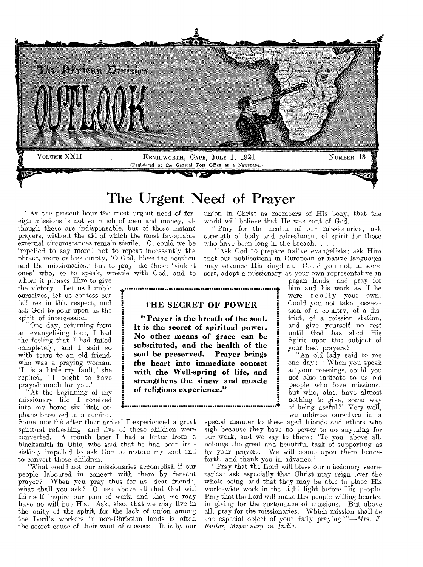

## The Urgent Need of Prayer

"Am the present hour the most urgent need of foreign missions is not so much of men and money, although these are indispensable, but of those instant prayers, without the aid of which the most favourable external circumstances remain sterile. 0, could we be impelled to say more ! not to repeat incessantly the phrase, more or less empty, '0 God, bless the heathen and the missionaries,' but to pray like those 'violent ones' who, so to speak, wrestle with God, and to

whom it pleases Him to give the victory. Let us humble ourselves, let us confess our failures in this respect, and ask God to pour upon us the spirit of intercession.

"One day, returning from an evangelising tour, I had the feeling that I had failed completely, and I said so with tears to an old friend, who was a praying woman. 'It is a little my fault,' she replied, 'I ought to have prayed much for you.'

"At the beginning of my missionary life I received into my home six little orphans bereaved in a famine.

Some months after their arrival I experienced a great spiritual refreshing, and five of these children were<br>converted. A month later I had a letter from a A month later I had a letter from a blacksmith in Ohio, who said that he had been irresistibly impelled to ask God to restore my soul and to convert those children.

"What could not our missionaries accomplish if our people laboured in concert with them by fervent prayer? When you pray thus for us, dear friends, what shall you ask? O, ask above all that God will Himself inspire our plan of work, and that we may have no will but His. Ask, also, that we may live in the unity of the spirit, for the lack of union among the Lord's workers in non-Christian lands is often the secret cause of their want of success. It is by our union in Christ as members of His body, that the world will believe that He was sent of God.

Pray for the health of our missionaries; ask strength of body and refreshment of spirit for those who have been long in the breach. . . .

"Ask God to prepare native evangelists; ask Him that our publications in European or native languages may advance His kingdom. Could you not, in some sort, adopt a missionary as your own representative in

pagan lands, and pray for him and his work as if he were really your own. Could you not take posses- sion of a country, of a district, of a mission station, and give yourself no rest until God has shed His Spirit upon this subject of your best prayers?

"An old lady said to me one day : When you speak at your meetings, could you not also indicate to us old people who love missions, but who, alas, have almost nothing to give, some way of being useful?' Very well, we address ourselves in a

special manner to these aged friends and others who sigh because they have no power to do anything for our work, and we say to them: 'To you, above all, belongs the great and beautiful task of supporting us by your prayers. We will count upon them henceforth, and thank you in advance.'

•

"Pray that the Lord will bless our missionary secretaries; ask especially that Christ may reign over the whole being, and that they may be able to place His world-wide work in the right light before His people. Pray that the Lord will make His people willing-hearted in giving for the sustenance of missions. But above all, pray for the missionaries. Which mission shall be the especial object of your daily praying?"—Mrs. *J. Fuller, Missionary in India..* 

### **\* mmmmm mmmmmmmmm stwaverigt•wasseme.ss mmmmmmmmmmmmmm ages mmmmmmmmmm mmmmmm THE SECRET OF POWER**

**" Prayer is the breath of the soul. It is the secret of spiritual power. No other means of grace can be substituted, and the health of the soul be preserved. Prayer brings the heart into immediate contact with the Well-spring of life, and strengthens the sinew and muscle of religious experience."**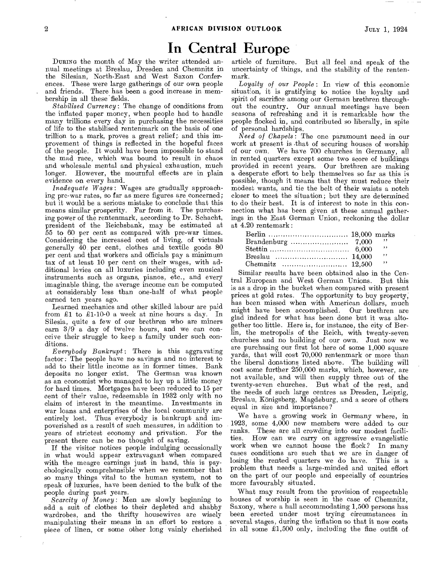## **In Central Europe**

DURING the month of May the writer attended annual meetings at Breslau, Dresden and Chemnitz in the Silesian, North-East and West Saxon Conferences. These were large gatherings of our own people and friends. There has been a good increase in membership in all these 'fields.

*Stabilised Currency:* The change of conditions from the inflated paper money, when people had to handle many trillions every day in purchasing the necessities of life to the stabilised rentenmark on the basis of one trillion to a mark, proves a great relief; and this improvement of things is reflected in the hopeful faces of the people. It would have been impossible to stand the mad race, which was bound to result in chaos and wholesale mental and physical exhaustion, much longer. However, the mournful effects are in plain evidence on every hand.

*Inadequate Wages:* Wages are gradually approaching pre-war rates, so far as mere figures are concerned; but it would be a serious mistake to conclude that this means similar prosperity. Far from it. The purchasing power of the rentenmark, according to Dr. Schacht, president of the Reichsbank, may be estimated at 55 to 60 per cent as compared with pre-war times. Considering the increased cost of living, of victuals generally 40 per cent, clothes and textile goods 80 per cent and that workers and officials pay a minimum tax of at least 10 per cent on their wages, with additional levies on all luxuries including even musical instruments such as organs, pianos, etc., and every imaginable thing, the average income can be computed at considerably less than one-half of what people earned ten years ago.

Learned mechanics and other skilled labour are paid from £1 to £1-10-0 a week at nine hours a day. In Silesia, quite a few of our brethren who are miners earn  $3/\hat{9}$  a day of twelve hours, and we can conceive their struggle to keep a family under such conditions.

*Everybody Bankrupt :* There is this aggravating factor : The people have no savings and no interest to add to their little income as in former times. Bank deposits no longer exist. The German was known as an economist who managed to lay up a little money for hard times. Mortgages have been reduced to 15 per cent of their value, redeemable in 1932 only with no claim of interest in the meantime. Investments in war loans and enterprises of the local community are entirely lost. Thus everybody is bankrupt and impoverished as a result of such measures, in addition to years of strictest economy and privation. present there can be no thought of saving.

If the visitor notices people indulging occasionally in what would appear extravagant when compared with the meagre earnings just in hand, this is psychologically comprehensible when we remember that so many things vital to the human system, not to speak of luxuries, have been denied to the bulk of the people during past years.

*Scarcity of Money:* Men are slowly beginning to add a suit of clothes to their depleted and shabby wardrobes, and the thrifty housewives are wisely manipulating their means in an effort to restore a piece of linen, or some other long vainly cherished

article of furniture. But all feel and speak of the uncertainty of things, and the stability of the rentenmark.

*Loyalty of our People :* In view of this economic situation, it is gratifying to notice the loyalty and spirit of sacrifice among our German brethren throughout the country. Our annual meetings have been seasons of refreshing and it is remarkable how the people flocked in, and contributed so liberally, in spite of personal hardships.

*Need of Chapels :* The one paramount need in our work at present is that of securing houses of worship of our own. We have 700 churches in Germany, all in rented quarters except some two score of buildings provided in recent years. Our brethren are making a desperate effort to help themselves so far as this is possible, though it means that they must reduce their modest wants, and tie the belt of their waists a notch closer to meet the situation; but they are determined to do their best. It is of interest to note in this connection what has been given at these annual gatherings in the East German Union, reckoning the dollar at 4.20 rentemark :

|  | $\cdot$ ,     |
|--|---------------|
|  | $\cdot$ ,     |
|  | $\rightarrow$ |

Similar results have been obtained also in the Central European and West German Unions. But this is as a drop in the bucket when compared with present prices at gold rates. The opportunity to buy property, has been missed when with American dollars, much might have been accomplished. Our brethren are glad indeed for what has been done but it was altogether too little. Here is, for instance, the city of Berlin, the metropolis of the Reich, with twenty-seven churches and no building of our own. Just now we are purchasing our first lot here of some 1,000 square yards, that will cost 70,000 rentenmark or more than the liberal donations listed above. The building will cost some further 250,000 marks, which, however, are not available, and will then supply three out of the twenty-seven churches. But what of the rest, and the needs of such large centres as Dresden, Leipzig, Breslau, Konigsberg, Magdeburg, and a score of others equal in size and importance?

We have a growing work in Germany where, in 1923, some 4,000 new members were added to our ranks. These are all crowding into our modest facili-How can we carry on aggressive evangelistic work when we cannot house the flock? In many cases conditions are such that we are in danger of losing the rented quarters we do have. This is a problem that needs a large-minded and united effort on the part of our people and especially of countries more favourably situated.

What may result from the provision of respectable houses of worship is seen in the case of Chemnitz, Saxony, where a hall accommodating 1,500 persons has been erected under most trying circumstances in several stages, during the inflation so that it now costs in all some  $\pounds1,500$  only, including the fine outfit of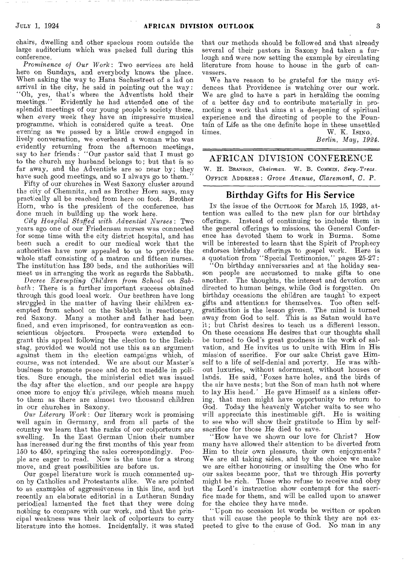chairs, dwelling and other spacious room outside the large auditorium which was packed full during this conference.

*Prominence of Our Work:* Two services are held here on Sundays, and everybody knows the place. When asking the way to Hans Sachsstreet of a lad on arrival in the city, he said in pointing out the way: "Oh, yes, that's where the Adventists hold their meetings." Evidently he had attended one of the splendid meetings of our young people's society there, when every week they have an impressive musical programme, which is considered quite a treat. One evening as we passed by a little crowd engaged in lively conversation, we overheard a woman who was evidently returning from the afternoon meetings, say to her friends : "Our pastor said that I must go to the church my husband belongs to; but that is so far away, and the Adventists are so near by; they have such good meetings, and so I always go to them."

Fifty of our churches in West Saxony cluster around the city of Chemnitz, and as Brother Horn says, may practically all be reached from here on foot. Brother Horn, who is the president of the conference, has done much in building up the work here.

*City Hospital Staffed with Adventist Nurses:* Two years ago one of our Friedensau nurses was connected for some time with the city district hospital, and has been such a credit to our medical work that the authorities have now appealed to us to provide the whole staff consisting of a matron and fifteen nurses. The institution has 130 beds, and the authorities will meet us in arranging the work as regards the Sabbath.

*Decree Exempting Chi7dren from* School on *Sabbath:* There is a further important success obtained through this good local work. Our brethren have long struggled in the matter of having their children exempted from school on the Sabbath in reactionary, red Saxony. Many a mother and father had been fined, and even imprisoned, for contravention as conscientious objectors. Prospects were extended to grant this appeal following the election to the Reichstag, provided we would not use this as an argument against them in the election campaigns which, of course, was not intended. We are about our Master's business to promote peace and do not meddle in polities. Sure enough, the ministerial edict was issued Sure enough, the ministerial edict was issued the day after the election, and our people are happy once more to enjoy this privilege, which means much to them as there are almost two thousand children in our churches in Saxony.

*Our Literary Work:* Our literary work is promising well again in Germany, and from all parts of the country we learn that the ranks of our colporteurs are swelling. In the East German Union their number has increased during the first months of this year from 150 to 450, springing the sales correspondingly. People are eager to read. Now is the time for a strong move, and great possibilities are before us.

Our gospel literature work is much commented upon by Catholics and Protestants alike. We are pointed to as examples of aggressiveness in this line, and but recently an elaborate editorial in a Lutheran Sunday periodical lamented the fact that they were doing nothing to compare with our work, and that the principal weakness was their lack of colporteurs to carry literature into the homes. Incidentally, it was stated

that our methods should be followed and that already several of their pastors in Saxony had taken a furlough and were now setting the example by circulating literature from house to house in the garb of canvassers.

We have reason to be grateful for the many evidences that Providence is watching over our work. We are glad to have a part in heralding the coming of a better day and to contribute materially in promoting a work that aims at a deepening of spiritual experience and the directing of people to the Fountain of Life as the one definite hope in these unsettled times.  $W$ ,  $K$ ,  $I\text{SING}$ , W. K. Ising,

*Berlin, May, 1924.* 

### AFRICAN DIVISION CONFERENCE

W. H. BRANSON, Chairman. W. B. COMMIN, Secy.-Treas. OFFICE ADDRESS : *Grove* Avenue, Claremont, *C. P.* 

### Birthday Gifts for His Service

IN the issue of the OUTLOOK for March 15, 1923, attention was called to the new plan for our birthday offerings. Instead of continuing to include them in the general offerings to missions, the General Conference has devoted them to work in Burma. will be interested to learn that the Spirit of Prophecy endorses birthday offerings to gospel work. Here is a quotation from "Special Testimonies," pages 25-27:

"On birthday anniversaries and at the holiday season people are accustomed to make gifts to one another. The thoughts, the interest and devotion are directed to human beings, while God is forgotten. On directed to human beings, while God is forgotten. birthday occasions the children are taught to expect gifts and attentions for themselves. Too often selfgratification is the lesson given. The mind is turned away from God to self. This is as Satan would have it; but Christ desires to teach us a different lesson. On these occasions He desires that our thoughts shall be turned to God's great goodness in the work of salvation, and He invites us to unite with Him in His mission of sacrifice. For our sake Christ gave Himself to a life of self-denial and poverty. He was without luxuries, without adornment, without houses or lands. He said, 'Foxes have holes, and the birds of the air have nests; but the Son of man bath not where to lay His head.' He gave Himself as a sinless offering, that men might have opportunity to return to God. Today the heavenly Watcher waits to see who will appreciate this inestimable gift. He is waiting to see who will show their gratitude to Him by selfsacrifice for those He died to save.

'How have we shown our love for Christ? How many have allowed their attention to be diverted from Him to their own pleasure, their own enjoyments? We are all taking sides, and by the choice we make we are either honouring or insulting the One who for our sakes became poor, that we through His poverty might be rich. Those who refuse to receive and obey the Lord's instruction show contempt for the sacrifice made for them, and will be called upon to answer for the choice they have made.

"Upon no occasion let words be written or spoken that will cause the people to think they are not expected to give to the cause of God. No man in any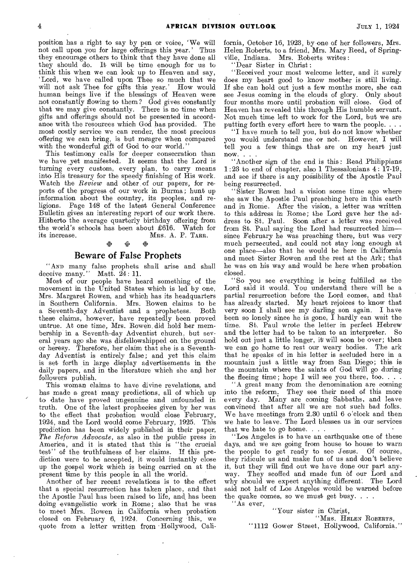position has a right to say by pen or voice, 'We will not call upon you for large offerings this year.' Thus they encourage others to think that they have done all they should do. It will be time enough for us to think this when we can look up to Heaven and say, `Lord, we have called upon Thee so much that we will not ask Thee for gifts this year.' How would human beings live if the blessings of Heaven were not constantly flowing to them? God gives constantly that we may give constantly. There is no time when gifts and offerings should not be presented in accordance with the resources which God has provided. The most costly service we can render, the most precious offering we can bring, is but meagre when compared with the wonderful gift of God to our world."

This testimony calls for deeper consecration than we have vet manifested. It seems that the Lord is turning every custom, every plan, to carry means into His treasury for the speedy finishing of His work. Watch the *Review* and other of our papers, for reports of the progress of our work in Burma; hunt up information about the country, its peoples, and religions. Page 148 of the latest General Conference Bulletin gives an interesting report of our work there. Hitherto the average quarterly birthday offering from the world's schools has been about £616. Watch for its increase. Mrs. A. P. TARR. MRS. A. P. TARR.

### 4:4 •

### Beware of False Prophets

"AND many false prophets shall arise and shall deceive many." Matt. 24: 11.

Most of our people have heard something of the movement in the United States which is led by one, Mrs. Margaret Rowen, and which has its headquarters in Southern California. Mrs. Rowen claims to be a Seventh-day Adventist and a prophetess. these claims, however, have repeatedly been proved untrue. At one time, Mrs. Rowen did hold her membership in a Seventh-day Adventist church, but several years ago she was disfellowshipped on, the ground or heresy. Therefore, her claim that she is a Seventhday Adventist is entirely false; and yet this claim is set forth in large display advertisements in the daily papers, and in the literature which she and her followers publish.

This woman claims to have divine revelations, and has made a great many predictions, all of which up to date have proved ungenuine and unfounded in truth. One of the latest prophecies given by her was to the effect that probation would close February, 1924, and the Lord would come February, 1925. This prediction has been widely published in their paper, *The Reform Advocate,* as also in the public press in America, and it is stated that this is "the crucial test" of the truthfulness of her claims. If this prediction were to be accepted, it would instantly close up the gospel work which is being carried on at the present time by this people in all the world.

Another of her recent revelations is to the effect that a special resurrection has taken place, and that the Apostle Paul has been raised to life, and has been doing evangelistic work in Rome; also that he was to meet Mrs. Rowen in California when probation closed on February 6, 1924. Concerning this, we quote from a letter written from Hollywood, California, October 16, 1923, by one of her followers, Mrs. Helen Roberts, to a friend, Mrs. Mary Reed, of Springville, Indiana. Mrs. Roberts writes :

Dear Sister in Christ:

"Received your most welcome letter, and it surely does my heart good to know mother is still living. If she can hold out just a few months more, she can see Jesus coming in the clouds of glory. Only about four months more until probation will close. God of Heaven has revealed this through His humble servant. Not much time left to work for the Lord, but we are putting forth every effort here to warn the people. . . .

"I have much to tell you, but do not know whether you would understand me or not. However, I will tell you a few things that are on my heart just now. . . .

"Another sign of the end is this: Read Philippians 1 :23 to end of chapter, also 1 Thessalonians 4: 17-19, and see if there is any possibility of the Apostle Paul being resurrected.

"Sister Rowen had a vision some time ago where she saw the Apostle Paul preaching here in this earth and in Rome. After the vision, a letter was written to this address in Rome; the Lord gave her the address to St. Paul. Soon after a letter was received from St. Paul saying the Lord had resurrected him since February he was preaching there, but was very much persecuted, and could not stay long enough at one place—also that he would be here in California and meet Sister Bowen and the rest at the Ark; that he was on his way and would be here when probation closed.

"So you see everything is being fulfilled as the Lord said it would. You understand there will be a partial resurrection before the Lord comes, and that has already started. My heart rejoices to know that very soon I shall see my darling son again. I have been so lonely since he is gone, I hardly can wait the time. St. Paul wrote the letter in perfect Hebrew<br>and the letter had to be taken to an interpreter. So and the letter had to be taken to an interpreter. hold out just a little longer, it will soon be over; then we can go home to rest our weary bodies. The ark we can go home to rest our weary bodies. that he speaks of in his letter is secluded here in a mountain just a little way from San Diego; this is the mountain where the saints of God will go during the fleeing time; hope I will see you there, too...

"A great many from the denomination are coming into the reform. They see their need of this more every day. Many are coming Sabbaths, and leave convinced that after all we are not such bad folks. We have meetings from 2.30 until 6 o'clock and then we hate to leave. The Lord blesses us in our services that we hate to go home. . . .

"Los Angeles is to have an earthquake one of these days, and we are going from house to house to warn the people to get ready to see Jesus. Of course, they ridicule us and make fun of us and don't believe it, but they will find out we have done our part anyway. They scoffed and made fun of our Lord and why should we expect anything different: The Lord said not half of Los Angeles would be warned before the quake comes, so we must get busy.  $\ldots$ 

"As ever,

"Your sister in Christ,

'MRS. HELEN ROBERTS, "1112 Gower Street, Hollywood, California."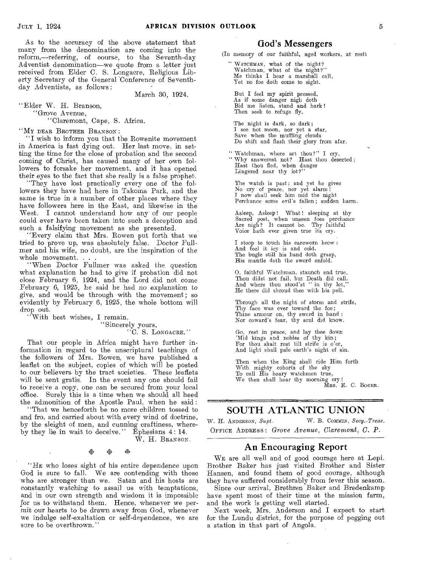As to the accuracy of the above statement that many from the denomination are coming into the reform,—referring, of course, to the Seventh-day Adventist denomination—we quote from a letter just received from Elder C. S. Longacre, Religious Liberty Secretary of the General 'Conference of Seventhday Adventists, as follows:

March 30, 1924.

"Elder W. H. Branson, "Grove Avenue, "Claremont, Cape, S. Africa.

"My DEAR BROTHER BRANSON :

"I wish to inform you that the Rowenite movement in America is fast dying out. Her last move, in setting the time for the close of probation and the second coming of Christ, has caused many of her own followers to forsake her movement, and it has opened their eyes to the fact that she really is a false prophet.

"They have lost practically every one of the followers they have had here in Takoma Park, and the same is true in a number of other places where they have followers here in the East, and likewise in the West. I cannot understand how any of our people could ever have been taken into such a deception and such a falsifying movement as she presented.

"Every claim that Mrs. Bowen put forth that we tried to prove up, was absolutely false. Doctor Fullmer and his wife, no doubt, are the inspiration of the whole movement.

"When Doctor Fullmer was asked the question what explanation he had to give if probation did not close February 6, 1924, and the Lord did not come February 6, 1925, he said he had no explanation to give, and would be through with the movement; so evidently by February 6, 1925, the whole bottom will drop out.

"With best wishes, I remain,

"Sincerely yours, "C. S. LONGACRE."

That our people in Africa might have further information in regard to the unscriptural teachings of the followers of Mrs.. Bowen, we have published a leaflet on the subject, copies of which will be posted to our believers by the tract societies. These leaflets will be sent gratis. In the event any one should fail to receive a copy, one can be secured from your local office. Surely this is a time when we should all heed the admonition of the Apostle Paul, when he said :

"That we henceforth be no more children tossed to and fro, and carried about with every wind of doctrine, by the sleight of men, and cunning craftiness, whereby they lie in wait to deceive." Ephesians 4:14.

W. H. BRANSON.

唿

"HE who loses sight of his entire dependence upon God is sure to fall. We are contending with those who are stronger than we. Satan and his hosts are constantly watching to assail us with temptations, and in our own strength and wisdom it is impossible for us to withstand them. Hence, whenever we permit our hearts to be drawn away from God, whenever we indulge self-exaltation or self-dependence, we are sure to be overthrown."

### God's Messengers

(In memory of our faithful, aged workers, at rest)

" WATCHMAN, what of the night? Watchman, what of the night?" Me thinks I hear a marshall call, Yet no foe doth come to sight.

But I feel my spirit pressed, As if some danger nigh doth Bid me listen, stand and hark ! Then seek to refuge fly.

The night is dark, so dark; I see not moon, nor yet a star,<br>Save when the muffling clouds Do shift and flash their glory from afar.

Watchman, where art thou?" I cry, Why answerest not? Hast thou deserted;<br>Hast thou fled, when danger<br>Lingered near thy lot?"

The watch is past; and yet he gives No cry of peace, nor yet alarm I I now shall seek him mid the night Perchance some evil's fallen; sudden harm.

Asleep, Asleep! What! sleeping at thy Sacred post, when unseen foes perchance<br>Are nigh? It cannot be. Thy faithful Voice hath ever given true its cry.

I stoop to touch his careworn brow : And feel it icy is and cold. The bugle still his hand doth grasp, His mantle doth the sword enfold.

0, faithful Watchman, staunch and true, Thou didst not fail, but Death did call. And where thou stood'st " in thy lot," He there did shroud thee with his pall.

Through all the night of storm and strife, Thy face was ever toward the foe; Thine armour on, thy sword in hand : Nor coward's fear, thy soul did know.

Go, rest in *peace,* and lay thee down 'Mid kings and nobles of thy kin; For thou shalt rest till strife is o'er, And light shall pale earth's night of sin.

Then when the King shall ride Him forth With mighty cohorts of the sky To call His hoary watchmen true, We then shall hear thy morning cry !<br>MRS. E. C. BOGER.

### SOUTH ATLANTIC UNION

W. H. ANDERSON, Supt. **W. B. COMMIN**, Secy.-Treas. OFFICE ADDRESS *Grove Avenue, Claremont, C. P.* 

### An Encouraging Report

WE are all well and of good courage here at Lepi. Brother Baker has just visited Brother and Sister Hansen, and found them of good courage, although they have suffered considerably from fever this season.

Since our arrival, Brethren Baker and Bredenkamp have spent most of their time at the mission farm, and the work is getting well started.

Next week, Mrs. Anderson and I expect to start for the Lundu district, for the purpose of pegging out a station in that part of Angola.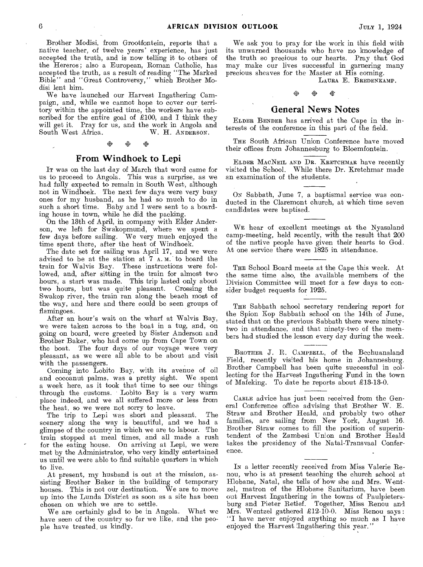Brother Modisi, from Grootfontein, reports that a native teacher, of twelve years' experience, has just accepted the truth, and is now telling it to others of the Hereros; also a European, Roman Catholic, has accepted the truth, as a result of reading "The Marked Bible" and "Great Controversy," which Brother Modisi lent him.

We have launched our Harvest Ingathering Campaign, and, while we cannot hope to cover our territory within the appointed time, the workers have subscribed for the entire goal of £100, and I think they will get it. Pray for us, and the work in Angola and South West Africa. W. H. ANDERSON. South West Africa.

## ° 4\* 14

### From Windhoek to Lepi

IT was on the last day of March that word came for us to proceed to Angola. This was a surprise, as we had fully expected to remain in South West, although not in Windhoek. The next few days were very busy ones for my husband, as he had so much to do in such a short time. Baby and I were sent to a boarding house in town, while he did the packing.

On the 13th of April, in company with Elder Anderson, we left for Swakopmund, where we spent a few days before sailing. We very much enjoyed the time spent there, after the heat of Windhoek.

The date set for sailing was April 17, and we were advised to be at the station at 7 A. M. to board the train for Walvis Bay. These instructions were followed, and, after sitting in the train for almost two hours, a start was made. This trip lasted only about two hours, but was quite pleasant. Crossing the Swakop river, the train ran along the beach most of the way, and here and there could be seen groups of flamingoes.

After an hour's wait on the wharf at Walvis Bay, we were taken across to the boat in a tug, and, on going on board, were greeted by Sister Anderson and Brother Baker, who had come up from Cape Town on the boat. The four days of our voyage were very pleasant, as we were all able to be about and visit with the passengers.

Coming into Lobito Bay, with its avenue of oil and cocoanut palms, was a pretty sight. We spent a week here, as it took that time to see our things through the customs. Lobito Bay is a very warm place indeed, and we all suffered more or less from the heat, so we were not sorry to leave.

The trip to Lepi was short and pleasant. The scenery along the way is beautiful, and we had a glimpse of the country in which we are to labour. The train stopped at meal times, and all made a rush for the eating house. On arriving at Lepi, we were met by the Administrator, who very kindly entertained us until we were able to find suitable quarters in which to live.

At present, my husband is out at the mission, assisting Brother Baker in the building of temporary houses. This is not our destination. We are to move up into the Lunda District as soon as a site has been chosen on which we are to settle.

We are certainly glad to be in Angola. What we have seen of the country so far we like, and the people have treated, us kindly.

We ask you to pray for the work in this field with its unwarned thousands who have no knowledge of the truth so precious to our hearts. Pray that God may make our lives successful in garnering many precious sheaves for the Master at His coming.

LAURA E. BREDENKAMP.

## 4URA<br>※ ※ ※<br>※ ※

### General News Notes

ELDER BENDER has arrived at the Cape in the interests of the conference in this part of the field.

THE South African Union Conference have moved their offices from Johannesburg to Bloemfontein.

ELDER MACNEIL AND DR. KRETCHMAR have recently visited the School. While there Dr. Kretchmar made an examination of the students.

ON Sabbath, June 7, a baptismal service was conducted in the Claremont church, at which time seven candidates were baptised.

WE hear of excellent meetings at the Nyasaland camp-meeting, held recently, with the result that 200 of the native people have given their hearts to God. At one service there were 1825 in attendance.

THE School Board meets at the Cape this week. At the same time also, the available members of the Division Committee will meet for a few days to consider budget requests for 1925.

THE Sabbath school secretary rendering report for the Spion Xop Sabbath school on the 14th of June, stated that on the previous Sabbath there were ninetytwo in attendance, and that ninety-two of the members had studied the lesson every day during the week.

BROTHER J. R. CAMPBELL, of the Bechuanaland Field, recently visited his home in Johannesburg. Brother Campbell has been quite successful in collecting for the Harvest Ingathering Fund in the town of Mafeking. To date he reports about £13-13-0.

CABLE advice has just been received from the General Conference office advising that Brother W. E. Straw and Brother Heald, and probably two other families, are sailing from New York, August 16. Brother Straw comes to fill the position of superintendent of the Zambesi Union and Brother Heald takes the presidency of the Natal-Transvaal Conference.

IN a letter recently received from Miss Valerie Renou, who is at present teaching the church school at Hlobane, Natal, she tells of bow she and Mrs. Wentzel, matron of the Hlobane Sanitarium, have been out Harvest Ingathering in the towns of Paulpietersburg and Pieter Retief. Together, Miss Renou and Mrs. Wentzel gathered £12-10-0. Miss Renou says: "I have never enjoyed anything so much as I have enjoyed the Harvest Ingathering this year."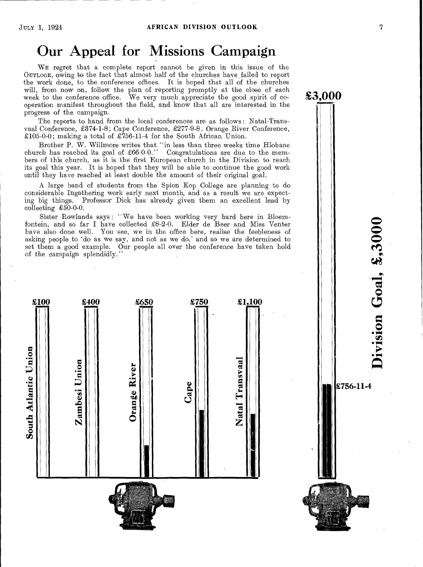## Our Appeal for Missions Campaign

WE regret that a complete report cannot be given in this issue of the OUTLOOK, owing to the fact that almost half of the churches have failed to report the work done, to the conference offices. It is hoped that all of the churches will, from now on, follow the plan of reporting promptly at the close of each week to the conference office. We very much appreciate the good spirit of cooperation manifest throughout the field, and know that all are interested in the progress of the campaign.

The reports to hand from the local conferences are as follows : Natal-Transvaal Conference, £374-1-8; Cape Conference, £277-9-8; Orange River Conference, £105-0-0; making a total of £756-11-4 for the South African Union.

Brother P. W. Willmore writes that "in less than three weeks time Hlobane church has reached its goal of £66-0-0." Congratulations are due to the members of this church, as it is the first European church in the Division to reach its goal this year. It is hoped that they will be able to continue the good work until they have reached at least double the amount of their original goal.

A large band of students from the Spion Kop College are planning to do considerable Ingathering work early next month, and as a result we are expecting big things. Professor Dick has already given them an excellent lead by collecting  $£50-0-0$ .

Sister Rowlands says: "We have been working very hard here in Bloemfontein, and so far I have collected  $\pounds8-2-0$ . Elder de Beer and Miss Venter have also done well. You see, we in the office here, realise the feebleness of asking people to 'do as we say, and not as we do,' and so we are determined to set them a good example. Our people all over the conference have taken hold of the campaign splendidly."



 $\tilde{\mathbf{C}}$  $\boldsymbol{\tilde{\Xi}}$  $\sum_{i=1}^{\infty}$ 

£756-11-4

£3,000